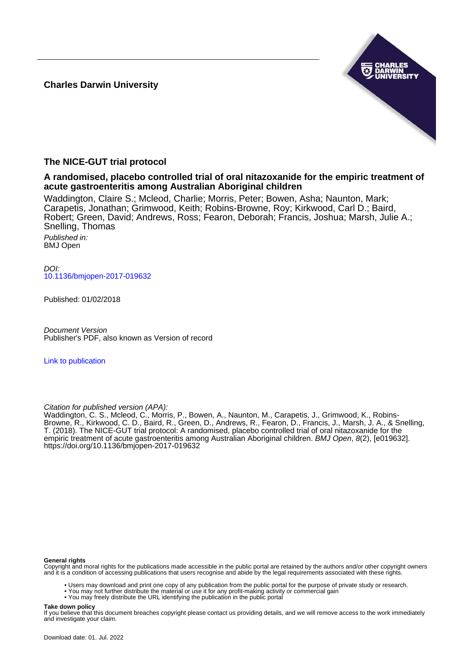**Charles Darwin University**



# **The NICE-GUT trial protocol**

**A randomised, placebo controlled trial of oral nitazoxanide for the empiric treatment of acute gastroenteritis among Australian Aboriginal children**

Waddington, Claire S.; Mcleod, Charlie; Morris, Peter; Bowen, Asha; Naunton, Mark; Carapetis, Jonathan; Grimwood, Keith; Robins-Browne, Roy; Kirkwood, Carl D.; Baird, Robert; Green, David; Andrews, Ross; Fearon, Deborah; Francis, Joshua; Marsh, Julie A.; Snelling, Thomas

Published in: BMJ Open

DOI: [10.1136/bmjopen-2017-019632](https://doi.org/10.1136/bmjopen-2017-019632)

Published: 01/02/2018

Document Version Publisher's PDF, also known as Version of record

[Link to publication](https://researchers.cdu.edu.au/en/publications/92e119c2-ffbc-45e8-9b61-38157c990ad6)

Citation for published version (APA):

Waddington, C. S., Mcleod, C., Morris, P., Bowen, A., Naunton, M., Carapetis, J., Grimwood, K., Robins-Browne, R., Kirkwood, C. D., Baird, R., Green, D., Andrews, R., Fearon, D., Francis, J., Marsh, J. A., & Snelling, T. (2018). The NICE-GUT trial protocol: A randomised, placebo controlled trial of oral nitazoxanide for the empiric treatment of acute gastroenteritis among Australian Aboriginal children. BMJ Open, 8(2), [e019632]. <https://doi.org/10.1136/bmjopen-2017-019632>

#### **General rights**

Copyright and moral rights for the publications made accessible in the public portal are retained by the authors and/or other copyright owners and it is a condition of accessing publications that users recognise and abide by the legal requirements associated with these rights.

• Users may download and print one copy of any publication from the public portal for the purpose of private study or research.

- You may not further distribute the material or use it for any profit-making activity or commercial gain
- You may freely distribute the URL identifying the publication in the public portal

#### **Take down policy**

If you believe that this document breaches copyright please contact us providing details, and we will remove access to the work immediately and investigate your claim.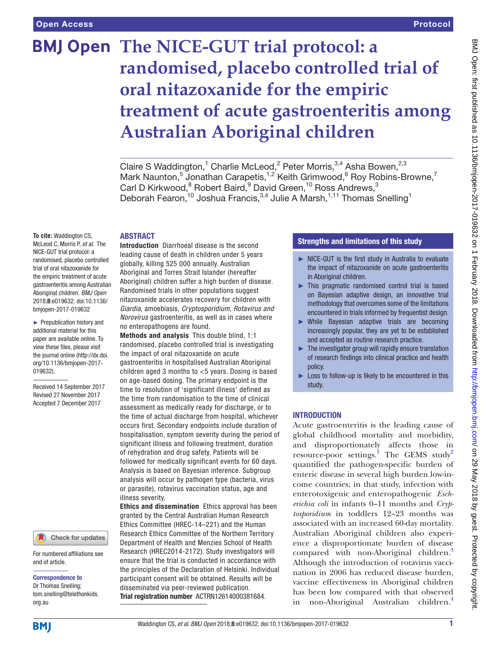# **BMJ Open The NICE-GUT trial protocol: a randomised, placebo controlled trial of oral nitazoxanide for the empiric treatment of acute gastroenteritis among Australian Aboriginal children**

Claire S Waddington,<sup>1</sup> Charlie McLeod,<sup>2</sup> Peter Morris,<sup>3,4</sup> Asha Bowen,<sup>2,3</sup> Mark Naunton,<sup>5</sup> Jonathan Carapetis,<sup>1,2</sup> Keith Grimwood,<sup>6</sup> Roy Robins-Browne,<sup>7</sup> Carl D Kirkwood,<sup>8</sup> Robert Baird,<sup>9</sup> David Green,<sup>10</sup> Ross Andrews,<sup>3</sup> Deborah Fearon,<sup>10</sup> Joshua Francis,<sup>3,4</sup> Julie A Marsh,<sup>1,11</sup> Thomas Snelling<sup>1</sup>

#### **ABSTRACT**

**To cite:** Waddington CS, McLeod C, Morris P, *et al*. The NICE-GUT trial protocol: a randomised, placebo controlled trial of oral nitazoxanide for the empiric treatment of acute gastroenteritis among Australian Aboriginal children. *BMJ Open* 2018;8:e019632. doi:10.1136/ bmjopen-2017-019632

► Prepublication history and additional material for this paper are available online. To view these files, please visit the journal online [\(http://dx.doi.](http://dx.doi.org/10.1136/bmjopen-2017-019632) [org/10.1136/bmjopen-2017-](http://dx.doi.org/10.1136/bmjopen-2017-019632) [019632\)](http://dx.doi.org/10.1136/bmjopen-2017-019632).

Received 14 September 2017 Revised 27 November 2017 Accepted 7 December 2017

#### Check for updates

For numbered affiliations see end of article.

Correspondence to

Dr Thomas Snelling; tom.snelling@telethonkids. org.au

Introduction Diarrhoeal disease is the second leading cause of death in children under 5 years globally, killing 525 000 annually. Australian Aboriginal and Torres Strait Islander (hereafter Aboriginal) children suffer a high burden of disease. Randomised trials in other populations suggest nitazoxanide accelerates recovery for children with *Giardia*, amoebiasis, *Cryptosporidium, Rotavirus and Norovirus* gastroenteritis, as well as in cases where no enteropathogens are found.

Methods and analysis This double blind, 1:1 randomised, placebo controlled trial is investigating the impact of oral nitazoxanide on acute gastroenteritis in hospitalised Australian Aboriginal children aged 3 months to <5 years. Dosing is based on age-based dosing. The primary endpoint is the time to resolution of 'significant illness' defined as the time from randomisation to the time of clinical assessment as medically ready for discharge, or to the time of actual discharge from hospital, whichever occurs first. Secondary endpoints include duration of hospitalisation, symptom severity during the period of significant illness and following treatment, duration of rehydration and drug safety. Patients will be followed for medically significant events for 60 days. Analysis is based on Bayesian inference. Subgroup analysis will occur by pathogen type (bacteria, virus or parasite), rotavirus vaccination status, age and illness severity.

Ethics and dissemination Ethics approval has been granted by the Central Australian Human Research Ethics Committee (HREC-14–221) and the Human Research Ethics Committee of the Northern Territory Department of Health and Menzies School of Health Research (HREC2014-2172). Study investigators will ensure that the trial is conducted in accordance with the principles of the Declaration of Helsinki. Individual participant consent will be obtained. Results will be disseminated via peer-reviewed publication. Trial registration number <ACTRN12614000381684>.

# Strengths and limitations of this study

- ► NICE-GUT is the first study in Australia to evaluate the impact of nitazoxanide on acute gastroenteritis in Aboriginal children.
- ► This pragmatic randomised control trial is based on Bayesian adaptive design, an innovative trial methodology that overcomes some of the limitations encountered in trials informed by frequentist design.
- ► While Bayesian adaptive trials are becoming increasingly popular, they are yet to be established and accepted as routine research practice.
- $\blacktriangleright$  The investigator group will rapidly ensure translation of research findings into clinical practice and health policy.
- ► Loss to follow-up is likely to be encountered in this study.

# **INTRODUCTION**

Acute gastroenteritis is the leading cause of global childhood mortality and morbidity, and disproportionately affects those in resource-poor settings.<sup>[1](#page-8-0)</sup> The GEMS study<sup>[2](#page-8-1)</sup> quantified the pathogen-specific burden of enteric disease in several high burden low-income countries; in that study, infection with enterotoxigenic and enteropathogenic *Escherichia coli* in infants 0–11 months and *Cryptosporidium* in toddlers 12–23 months was associated with an increased 60-day mortality. Australian Aboriginal children also experience a disproportionate burden of disease compared with non-Aboriginal children.<sup>[3](#page-8-2)</sup> Although the introduction of rotavirus vaccination in 2006 has reduced disease burden, vaccine effectiveness in Aboriginal children has been low compared with that observed in non-Aboriginal Australian children.<sup>4</sup>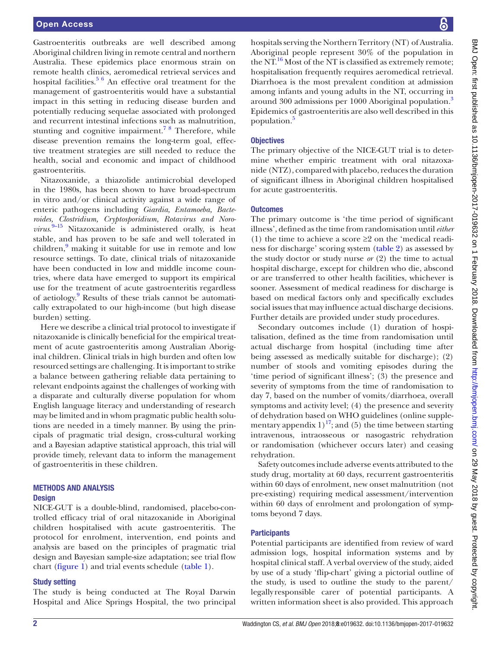Gastroenteritis outbreaks are well described among Aboriginal children living in remote central and northern Australia. These epidemics place enormous strain on remote health clinics, aeromedical retrieval services and hospital facilities. $56$  An effective oral treatment for the management of gastroenteritis would have a substantial impact in this setting in reducing disease burden and potentially reducing sequelae associated with prolonged and recurrent intestinal infections such as malnutrition, stunting and cognitive impairment.<sup>78</sup> Therefore, while disease prevention remains the long-term goal, effective treatment strategies are still needed to reduce the health, social and economic and impact of childhood gastroenteritis.

Nitazoxanide, a thiazolide antimicrobial developed in the 1980s, has been shown to have broad-spectrum in vitro and/or clinical activity against a wide range of enteric pathogens including *Giardia, Entamoeba, Bacteroides, Clostridium, Cryptosporidium, Rotavirus and Norovirus*. [9–15](#page-8-6) Nitazoxanide is administered orally, is heat stable, and has proven to be safe and well tolerated in children,<sup>[9](#page-8-6)</sup> making it suitable for use in remote and low resource settings. To date, clinical trials of nitazoxanide have been conducted in low and middle income countries, where data have emerged to support its empirical use for the treatment of acute gastroenteritis regardless of aetiology.<sup>[9](#page-8-6)</sup> Results of these trials cannot be automatically extrapolated to our high-income (but high disease burden) setting.

Here we describe a clinical trial protocol to investigate if nitazoxanide is clinically beneficial for the empirical treatment of acute gastroenteritis among Australian Aboriginal children. Clinical trials in high burden and often low resourced settings are challenging. It is important to strike a balance between gathering reliable data pertaining to relevant endpoints against the challenges of working with a disparate and culturally diverse population for whom English language literacy and understanding of research may be limited and in whom pragmatic public health solutions are needed in a timely manner. By using the principals of pragmatic trial design, cross-cultural working and a Bayesian adaptive statistical approach, this trial will provide timely, relevant data to inform the management of gastroenteritis in these children.

# Methods and analysis

#### **Design**

NICE-GUT is a double-blind, randomised, placebo-controlled efficacy trial of oral nitazoxanide in Aboriginal children hospitalised with acute gastroenteritis. The protocol for enrolment, intervention, end points and analysis are based on the principles of pragmatic trial design and Bayesian sample-size adaptation; see trial flow chart [\(figure](#page-3-0) 1) and trial events schedule [\(table](#page-4-0) 1).

#### Study setting

The study is being conducted at The Royal Darwin Hospital and Alice Springs Hospital, the two principal

hospitals serving the Northern Territory (NT) of Australia. Aboriginal people represent 30% of the population in the NT. $^{16}$  Most of the NT is classified as extremely remote; hospitalisation frequently requires aeromedical retrieval. Diarrhoea is the most prevalent condition at admission among infants and young adults in the NT, occurring in around [3](#page-8-2)00 admissions per 1000 Aboriginal population.<sup>3</sup> Epidemics of gastroenteritis are also well described in this population.<sup>[5](#page-8-4)</sup>

## **Objectives**

The primary objective of the NICE-GUT trial is to determine whether empiric treatment with oral nitazoxanide (NTZ), compared with placebo, reduces the duration of significant illness in Aboriginal children hospitalised for acute gastroenteritis.

#### **Outcomes**

The primary outcome is 'the time period of significant illness', defined as the time from randomisation until *either* (1) the time to achieve a score  $\geq 2$  on the 'medical readiness for discharge' scoring system [\(table](#page-5-0) 2) as assessed by the study doctor or study nurse *or* (2) the time to actual hospital discharge, except for children who die, abscond or are transferred to other health facilities, whichever is sooner. Assessment of medical readiness for discharge is based on medical factors only and specifically excludes social issues that may influence actual discharge decisions. Further details are provided under study procedures.

Secondary outcomes include (1) duration of hospitalisation, defined as the time from randomisation until actual discharge from hospital (including time after being assessed as medically suitable for discharge); (2) number of stools and vomiting episodes during the 'time period of significant illness'; (3) the presence and severity of symptoms from the time of randomisation to day 7, based on the number of vomits/diarrhoea, overall symptoms and activity level; (4) the presence and severity of dehydration based on WHO guidelines (online [supple](https://dx.doi.org/10.1136/bmjopen-2017-019632)mentary appendix  $1$ )<sup>17</sup>; and (5) the time between starting intravenous, intraosseous or nasogastric rehydration or randomisation (whichever occurs later) and ceasing rehydration.

Safety outcomes include adverse events attributed to the study drug, mortality at 60 days, recurrent gastroenteritis within 60 days of enrolment, new onset malnutrition (not pre-existing) requiring medical assessment/intervention within 60 days of enrolment and prolongation of symptoms beyond 7 days.

# **Participants**

Potential participants are identified from review of ward admission logs, hospital information systems and by hospital clinical staff. A verbal overview of the study, aided by use of a study 'flip-chart' giving a pictorial outline of the study, is used to outline the study to the parent/ legally responsible carer of potential participants. A written information sheet is also provided. This approach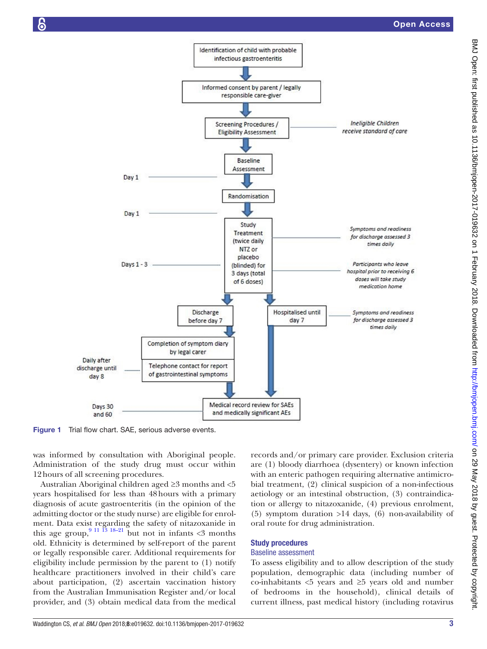

<span id="page-3-0"></span>Figure 1 Trial flow chart. SAE, serious adverse events.

was informed by consultation with Aboriginal people. Administration of the study drug must occur within 12hours of all screening procedures.

Australian Aboriginal children aged ≥3 months and <5 years hospitalised for less than 48hours with a primary diagnosis of acute gastroenteritis (in the opinion of the admitting doctor or the study nurse) are eligible for enrolment. Data exist regarding the safety of nitazoxanide in this age group,  $9^{11}$  13 18–21 but not in infants <3 months old. Ethnicity is determined by self-report of the parent or legally responsible carer. Additional requirements for eligibility include permission by the parent to (1) notify healthcare practitioners involved in their child's care about participation, (2) ascertain vaccination history from the Australian Immunisation Register and/or local provider, and (3) obtain medical data from the medical

records and/or primary care provider. Exclusion criteria are (1) bloody diarrhoea (dysentery) or known infection with an enteric pathogen requiring alternative antimicrobial treatment, (2) clinical suspicion of a non-infectious aetiology or an intestinal obstruction, (3) contraindication or allergy to nitazoxanide, (4) previous enrolment, (5) symptom duration >14 days, (6) non-availability of oral route for drug administration.

# Study procedures

#### Baseline assessment

To assess eligibility and to allow description of the study population, demographic data (including number of co-inhabitants <5 years and ≥5 years old and number of bedrooms in the household), clinical details of current illness, past medical history (including rotavirus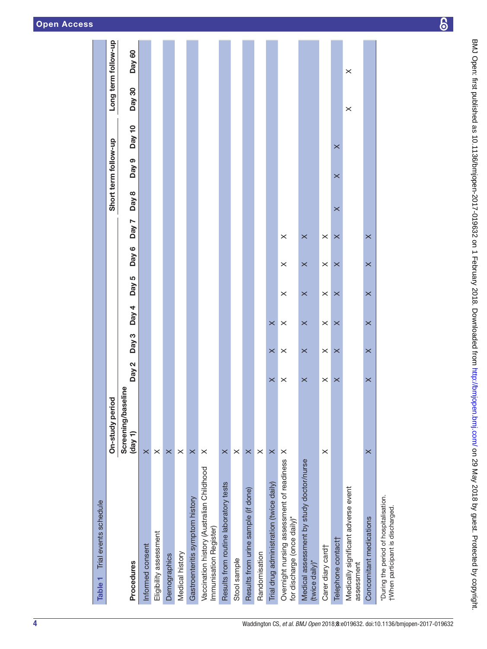| Trial events schedule<br>Table <sub>1</sub>                                |                               |                       |          |                       |                       |                       |          |                  |                      |          |          |                     |
|----------------------------------------------------------------------------|-------------------------------|-----------------------|----------|-----------------------|-----------------------|-----------------------|----------|------------------|----------------------|----------|----------|---------------------|
|                                                                            | On-study period               |                       |          |                       |                       |                       |          |                  | Short term follow-up |          |          | Long term follow-up |
| Procedures                                                                 | Screening/baseline<br>(day 1) | Day 2                 | Day 3    | Day $4$               | Day 5                 | Day 6                 | Day 7    | Day <sub>8</sub> | Day 9                | Day $10$ | Day 30   | Day 60              |
| Informed consent                                                           | $\times$                      |                       |          |                       |                       |                       |          |                  |                      |          |          |                     |
| Eligibility assessment                                                     | $\times$                      |                       |          |                       |                       |                       |          |                  |                      |          |          |                     |
| Demographics                                                               | $\times$                      |                       |          |                       |                       |                       |          |                  |                      |          |          |                     |
| Medical history                                                            | $\times$                      |                       |          |                       |                       |                       |          |                  |                      |          |          |                     |
| Gastroenteritis symptom history                                            | $\times$                      |                       |          |                       |                       |                       |          |                  |                      |          |          |                     |
| Vaccination history (Australian Childhood<br>Immunisation Register)        | $\times$                      |                       |          |                       |                       |                       |          |                  |                      |          |          |                     |
| Results from routine laboratory tests                                      | $\times$                      |                       |          |                       |                       |                       |          |                  |                      |          |          |                     |
| Stool sample                                                               | ×                             |                       |          |                       |                       |                       |          |                  |                      |          |          |                     |
| Results from urine sample (if done)                                        | $\times$                      |                       |          |                       |                       |                       |          |                  |                      |          |          |                     |
| Randomisation                                                              | $\times$                      |                       |          |                       |                       |                       |          |                  |                      |          |          |                     |
| Trial drug administration (twice daily)                                    | $\times$                      | $\times$              | $\times$ | $\times$              |                       |                       |          |                  |                      |          |          |                     |
| Overnight nursing assessment of readiness<br>for discharge (once daily)*   | $\times$                      | $\times$              | $\times$ | $\times$              | $\times$              | $\times$              | $\times$ |                  |                      |          |          |                     |
| Medical assessment by study doctor/nurse<br>(twice daily)*                 |                               | $\times$              | $\times$ | $\times$              | $\times$              | $\times$              | $\times$ |                  |                      |          |          |                     |
| Carer diary card†                                                          | $\times$                      | $\boldsymbol{\times}$ | $\times$ | $\boldsymbol{\times}$ | $\boldsymbol{\times}$ | $\boldsymbol{\times}$ | $\times$ |                  |                      |          |          |                     |
| Telephone contact                                                          |                               | $\times$              | $\times$ | $\times$              | $\times$              | $\times$              | $\times$ | $\times$         | $\times$             | $\times$ |          |                     |
| Medically significant adverse event<br>assessment                          |                               |                       |          |                       |                       |                       |          |                  |                      |          | $\times$ | $\times$            |
| Concomitant medications                                                    | $\times$                      | $\times$              | $\times$ | $\times$              | $\times$              | $\times$              | $\times$ |                  |                      |          |          |                     |
| *During the period of hospitalisation.<br>tWhen participant is discharged. |                               |                       |          |                       |                       |                       |          |                  |                      |          |          |                     |

<span id="page-4-0"></span>4 Waddington CS, *et al*. *BMJ Open* 2018; 8:e019632. doi:10.1136/bmjopen-2017-019632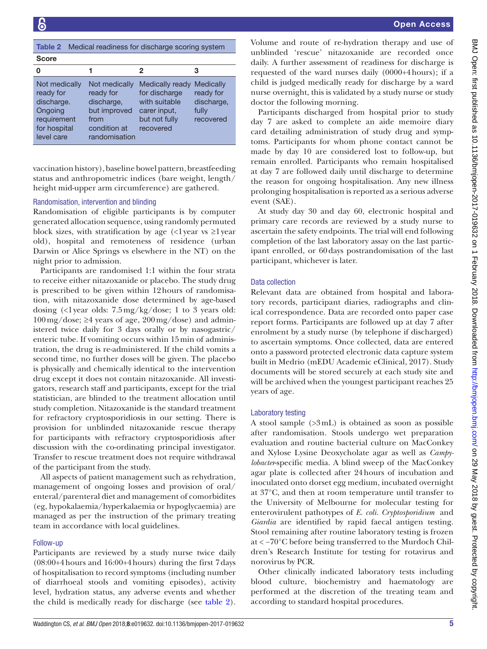<span id="page-5-0"></span>

| Medical readiness for discharge scoring system<br>Table 2                                        |                                                                                                   |                                                                                                 |                                                                   |  |
|--------------------------------------------------------------------------------------------------|---------------------------------------------------------------------------------------------------|-------------------------------------------------------------------------------------------------|-------------------------------------------------------------------|--|
| <b>Score</b>                                                                                     |                                                                                                   |                                                                                                 |                                                                   |  |
| 0                                                                                                |                                                                                                   | 2                                                                                               | З                                                                 |  |
| Not medically<br>ready for<br>discharge.<br>Ongoing<br>requirement<br>for hospital<br>level care | Not medically<br>ready for<br>discharge,<br>but improved<br>from<br>condition at<br>randomisation | Medically ready<br>for discharge<br>with suitable<br>carer input,<br>but not fully<br>recovered | <b>Medically</b><br>ready for<br>discharge,<br>fully<br>recovered |  |

vaccination history), baseline bowel pattern, breastfeeding status and anthropometric indices (bare weight, length/ height mid-upper arm circumference) are gathered.

# Randomisation, intervention and blinding

Randomisation of eligible participants is by computer generated allocation sequence, using randomly permuted block sizes, with stratification by age  $\langle \langle \cdot \rangle$  vear vs  $\geq$ l year old), hospital and remoteness of residence (urban Darwin or Alice Springs vs elsewhere in the NT) on the night prior to admission.

Participants are randomised 1:1 within the four strata to receive either nitazoxanide or placebo. The study drug is prescribed to be given within 12hours of randomisation, with nitazoxanide dose determined by age-based dosing  $\langle$  <1 year olds: 7.5 mg/kg/dose; 1 to 3 years old:  $100 \,\text{mg/dose}$ ;  $\geq 4$  years of age,  $200 \,\text{mg/dose}$ ) and administered twice daily for 3 days orally or by nasogastric/ enteric tube. If vomiting occurs within 15min of administration, the drug is re-administered. If the child vomits a second time, no further doses will be given. The placebo is physically and chemically identical to the intervention drug except it does not contain nitazoxanide. All investigators, research staff and participants, except for the trial statistician, are blinded to the treatment allocation until study completion. Nitazoxanide is the standard treatment for refractory cryptosporidiosis in our setting. There is provision for unblinded nitazoxanide rescue therapy for participants with refractory cryptosporidiosis after discussion with the co-ordinating principal investigator. Transfer to rescue treatment does not require withdrawal of the participant from the study.

All aspects of patient management such as rehydration, management of ongoing losses and provision of oral/ enteral/parenteral diet and management of comorbidites (eg, hypokalaemia/hyperkalaemia or hypoglycaemia) are managed as per the instruction of the primary treating team in accordance with local guidelines.

# Follow-up

Participants are reviewed by a study nurse twice daily (08:00+4hours and 16:00+4hours) during the first 7days of hospitalisation to record symptoms (including number of diarrhoeal stools and vomiting episodes), activity level, hydration status, any adverse events and whether the child is medically ready for discharge (see [table](#page-5-0) 2).

Volume and route of re-hydration therapy and use of unblinded 'rescue' nitazoxanide are recorded once daily. A further assessment of readiness for discharge is requested of the ward nurses daily (0000+4hours); if a child is judged medically ready for discharge by a ward nurse overnight, this is validated by a study nurse or study doctor the following morning.

Participants discharged from hospital prior to study day 7 are asked to complete an aide memoire diary card detailing administration of study drug and symptoms. Participants for whom phone contact cannot be made by day 10 are considered lost to follow-up, but remain enrolled. Participants who remain hospitalised at day 7 are followed daily until discharge to determine the reason for ongoing hospitalisation. Any new illness prolonging hospitalisation is reported as a serious adverse event (SAE).

At study day 30 and day 60, electronic hospital and primary care records are reviewed by a study nurse to ascertain the safety endpoints. The trial will end following completion of the last laboratory assay on the last participant enrolled, or 60days postrandomisation of the last participant, whichever is later.

## Data collection

Relevant data are obtained from hospital and laboratory records, participant diaries, radiographs and clinical correspondence. Data are recorded onto paper case report forms. Participants are followed up at day 7 after enrolment by a study nurse (by telephone if discharged) to ascertain symptoms. Once collected, data are entered onto a password protected electronic data capture system built in Medrio (mEDU Academic eClinical, 2017). Study documents will be stored securely at each study site and will be archived when the youngest participant reaches 25 years of age.

#### Laboratory testing

A stool sample (>3mL) is obtained as soon as possible after randomisation. Stools undergo wet preparation evaluation and routine bacterial culture on MacConkey and Xylose Lysine Deoxycholate agar as well as *Campylobacter*-specific media. A blind sweep of the MacConkey agar plate is collected after 24hours of incubation and inoculated onto dorset egg medium, incubated overnight at 37°C, and then at room temperature until transfer to the University of Melbourne for molecular testing for enterovirulent pathotypes of *E. coli. Cryptosporidium* and *Giardia* are identified by rapid faecal antigen testing. Stool remaining after routine laboratory testing is frozen at < −70°C before being transferred to the Murdoch Children's Research Institute for testing for rotavirus and norovirus by PCR.

Other clinically indicated laboratory tests including blood culture, biochemistry and haematology are performed at the discretion of the treating team and according to standard hospital procedures.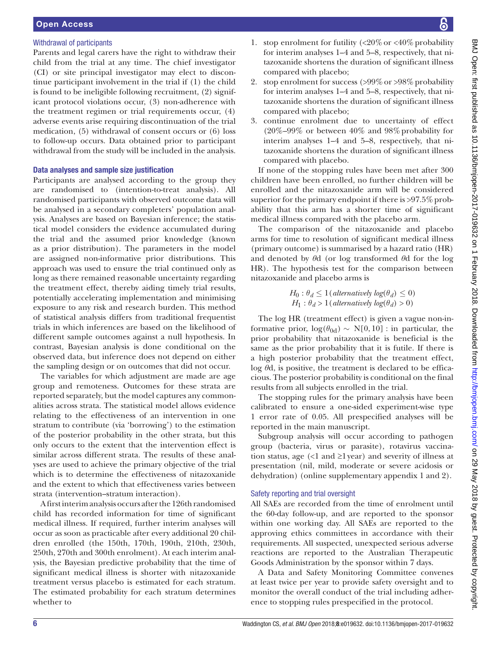# Withdrawal of participants

Parents and legal carers have the right to withdraw their child from the trial at any time. The chief investigator (CI) or site principal investigator may elect to discontinue participant involvement in the trial if (1) the child is found to be ineligible following recruitment, (2) significant protocol violations occur, (3) non-adherence with the treatment regimen or trial requirements occur, (4) adverse events arise requiring discontinuation of the trial medication, (5) withdrawal of consent occurs or (6) loss to follow-up occurs. Data obtained prior to participant withdrawal from the study will be included in the analysis.

# Data analyses and sample size justification

Participants are analysed according to the group they are randomised to (intention-to-treat analysis). All randomised participants with observed outcome data will be analysed in a secondary completers' population analysis. Analyses are based on Bayesian inference; the statistical model considers the evidence accumulated during the trial and the assumed prior knowledge (known as a prior distribution). The parameters in the model are assigned non-informative prior distributions. This approach was used to ensure the trial continued only as long as there remained reasonable uncertainty regarding the treatment effect, thereby aiding timely trial results, potentially accelerating implementation and minimising exposure to any risk and research burden. This method of statistical analysis differs from traditional frequentist trials in which inferences are based on the likelihood of different sample outcomes against a null hypothesis. In contrast, Bayesian analysis is done conditional on the observed data, but inference does not depend on either the sampling design or on outcomes that did not occur.

The variables for which adjustment are made are age group and remoteness. Outcomes for these strata are reported separately, but the model captures any commonalities across strata. The statistical model allows evidence relating to the effectiveness of an intervention in one stratum to contribute (via 'borrowing') to the estimation of the posterior probability in the other strata, but this only occurs to the extent that the intervention effect is similar across different strata. The results of these analyses are used to achieve the primary objective of the trial which is to determine the effectiveness of nitazoxanide and the extent to which that effectiveness varies between strata (intervention–stratum interaction).

A first interim analysis occurs after the 126th randomised child has recorded information for time of significant medical illness. If required, further interim analyses will occur as soon as practicable after every additional 20 children enrolled (the 150th, 170th, 190th, 210th, 230th, 250th, 270th and 300th enrolment). At each interim analysis, the Bayesian predictive probability that the time of significant medical illness is shorter with nitazoxanide treatment versus placebo is estimated for each stratum. The estimated probability for each stratum determines whether to

- 1. stop enrolment for futility  $\langle 20\% \text{ or } 40\% \text{ probability} \rangle$ for interim analyses 1–4 and 5–8, respectively, that nitazoxanide shortens the duration of significant illness compared with placebo;
- 2. stop enrolment for success  $\left( >99\% \text{ or } >98\% \text{ probability} \right)$ for interim analyses 1–4 and 5–8, respectively, that nitazoxanide shortens the duration of significant illness compared with placebo;
- 3. continue enrolment due to uncertainty of effect  $(20\% - 99\% \text{ or between } 40\% \text{ and } 98\% \text{ probability for }$ interim analyses 1–4 and 5–8, respectively, that nitazoxanide shortens the duration of significant illness compared with placebo.

If none of the stopping rules have been met after 300 children have been enrolled, no further children will be enrolled and the nitazoxanide arm will be considered superior for the primary endpoint if there is  $>97.5\%$  probability that this arm has a shorter time of significant medical illness compared with the placebo arm.

The comparison of the nitazoxanide and placebo arms for time to resolution of significant medical illness (primary outcome) is summarised by a hazard ratio (HR) and denoted by *θ*d (or log transformed *θ*d for the log HR). The hypothesis test for the comparison between nitazoxanide and placebo arms is

> $H_0: \theta_d \leq 1$  (*alternatively log*( $\theta_d$ )  $\leq 0$ ) *H*<sub>1</sub> :  $\theta_d > 1$  (*alternatively log*( $\theta_d$ ) > 0)

The log HR (treatment effect) is given a vague non-informative prior,  $log(\theta_{0d}) \sim N[0, 10]$ : in particular, the prior probability that nitazoxanide is beneficial is the same as the prior probability that it is futile. If there is a high posterior probability that the treatment effect, log *θ*d, is positive, the treatment is declared to be efficacious. The posterior probability is conditional on the final results from all subjects enrolled in the trial.

The stopping rules for the primary analysis have been calibrated to ensure a one-sided experiment-wise type 1 error rate of 0.05. All prespecified analyses will be reported in the main manuscript.

Subgroup analysis will occur according to pathogen group (bacteria, virus or parasite), rotavirus vaccination status, age  $\langle$  and  $\geq$ l year) and severity of illness at presentation (nil, mild, moderate or severe acidosis or dehydration) (online [supplementary appendix](https://dx.doi.org/10.1136/bmjopen-2017-019632) 1 and 2).

# Safety reporting and trial oversight

All SAEs are recorded from the time of enrolment until the 60-day follow-up, and are reported to the sponsor within one working day. All SAEs are reported to the approving ethics committees in accordance with their requirements. All suspected, unexpected serious adverse reactions are reported to the Australian Therapeutic Goods Administration by the sponsor within 7 days.

A Data and Safety Monitoring Committee convenes at least twice per year to provide safety oversight and to monitor the overall conduct of the trial including adherence to stopping rules prespecified in the protocol.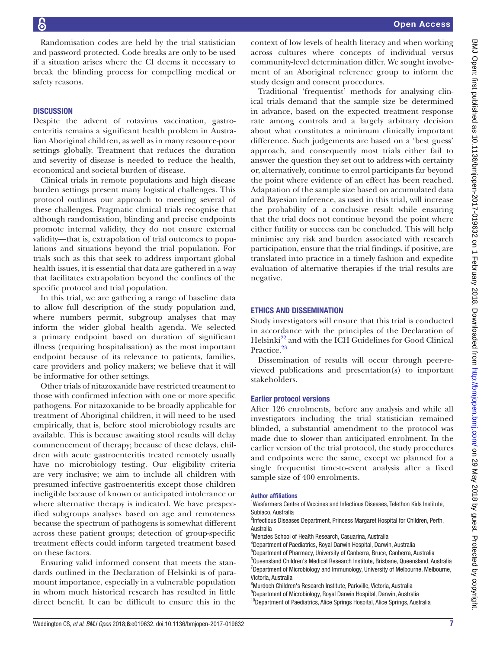Randomisation codes are held by the trial statistician and password protected. Code breaks are only to be used if a situation arises where the CI deems it necessary to break the blinding process for compelling medical or safety reasons.

# **DISCUSSION**

Despite the advent of rotavirus vaccination, gastroenteritis remains a significant health problem in Australian Aboriginal children, as well as in many resource-poor settings globally. Treatment that reduces the duration and severity of disease is needed to reduce the health, economical and societal burden of disease.

Clinical trials in remote populations and high disease burden settings present many logistical challenges. This protocol outlines our approach to meeting several of these challenges. Pragmatic clinical trials recognise that although randomisation, blinding and precise endpoints promote internal validity, they do not ensure external validity—that is, extrapolation of trial outcomes to populations and situations beyond the trial population. For trials such as this that seek to address important global health issues, it is essential that data are gathered in a way that facilitates extrapolation beyond the confines of the specific protocol and trial population.

In this trial, we are gathering a range of baseline data to allow full description of the study population and, where numbers permit, subgroup analyses that may inform the wider global health agenda. We selected a primary endpoint based on duration of significant illness (requiring hospitalisation) as the most important endpoint because of its relevance to patients, families, care providers and policy makers; we believe that it will be informative for other settings.

Other trials of nitazoxanide have restricted treatment to those with confirmed infection with one or more specific pathogens. For nitazoxanide to be broadly applicable for treatment of Aboriginal children, it will need to be used empirically, that is, before stool microbiology results are available. This is because awaiting stool results will delay commencement of therapy; because of these delays, children with acute gastroenteritis treated remotely usually have no microbiology testing. Our eligibility criteria are very inclusive; we aim to include all children with presumed infective gastroenteritis except those children ineligible because of known or anticipated intolerance or where alternative therapy is indicated. We have prespecified subgroups analyses based on age and remoteness because the spectrum of pathogens is somewhat different across these patient groups; detection of group-specific treatment effects could inform targeted treatment based on these factors.

Ensuring valid informed consent that meets the standards outlined in the Declaration of Helsinki is of paramount importance, especially in a vulnerable population in whom much historical research has resulted in little direct benefit. It can be difficult to ensure this in the

context of low levels of health literacy and when working across cultures where concepts of individual versus community-level determination differ. We sought involvement of an Aboriginal reference group to inform the study design and consent procedures.

Traditional 'frequentist' methods for analysing clinical trials demand that the sample size be determined in advance, based on the expected treatment response rate among controls and a largely arbitrary decision about what constitutes a minimum clinically important difference. Such judgements are based on a 'best guess' approach, and consequently most trials either fail to answer the question they set out to address with certainty or, alternatively, continue to enrol participants far beyond the point where evidence of an effect has been reached. Adaptation of the sample size based on accumulated data and Bayesian inference, as used in this trial, will increase the probability of a conclusive result while ensuring that the trial does not continue beyond the point where either futility or success can be concluded. This will help minimise any risk and burden associated with research participation, ensure that the trial findings, if positive, are translated into practice in a timely fashion and expedite evaluation of alternative therapies if the trial results are negative.

#### Ethics and dissemination

Study investigators will ensure that this trial is conducted in accordance with the principles of the Declaration of Helsinki<sup>22</sup> and with the ICH Guidelines for Good Clinical Practice.<sup>23</sup>

Dissemination of results will occur through peer-reviewed publications and presentation(s) to important stakeholders.

#### Earlier protocol versions

After 126 enrolments, before any analysis and while all investigators including the trial statistician remained blinded, a substantial amendment to the protocol was made due to slower than anticipated enrolment. In the earlier version of the trial protocol, the study procedures and endpoints were the same, except we planned for a single frequentist time-to-event analysis after a fixed sample size of 400 enrolments.

#### Author affiliations

<sup>1</sup>Wesfarmers Centre of Vaccines and Infectious Diseases, Telethon Kids Institute, Subiaco, Australia

<sup>2</sup>Infectious Diseases Department, Princess Margaret Hospital for Children, Perth, Australia

3 Menzies School of Health Research, Casuarina, Australia

4 Department of Paediatrics, Royal Darwin Hospital, Darwin, Australia 5 Department of Pharmacy, University of Canberra, Bruce, Canberra, Australia <sup>6</sup>Queensland Children's Medical Research Institute, Brisbane, Queensland, Australia <sup>7</sup>Department of Microbiology and Immunology, University of Melbourne, Melbourne, Victoria, Australia

8 Murdoch Children's Research Institute, Parkville, Victoria, Australia 9 Department of Microbiology, Royal Darwin Hospital, Darwin, Australia <sup>10</sup>Department of Paediatrics, Alice Springs Hospital, Alice Springs, Australia